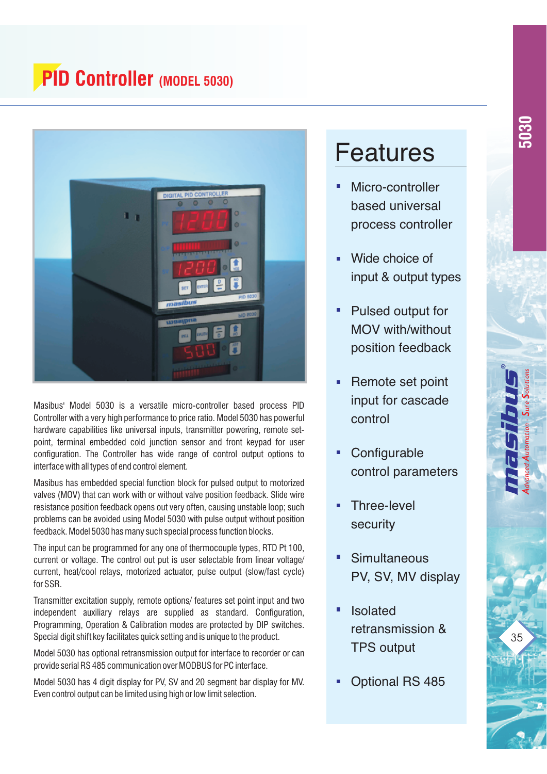## **PID Controller (MODEL 5030)**



Masibus' Model 5030 is a versatile micro-controller based process PID Controller with a very high performance to price ratio. Model 5030 has powerful hardware capabilities like universal inputs, transmitter powering, remote setpoint, terminal embedded cold junction sensor and front keypad for user configuration. The Controller has wide range of control output options to interface with all types of end control element.

Masibus has embedded special function block for pulsed output to motorized valves (MOV) that can work with or without valve position feedback. Slide wire resistance position feedback opens out very often, causing unstable loop; such problems can be avoided using Model 5030 with pulse output without position feedback. Model 5030 has many such special process function blocks.

The input can be programmed for any one of thermocouple types, RTD Pt 100, current or voltage. The control out put is user selectable from linear voltage/ current, heat/cool relays, motorized actuator, pulse output (slow/fast cycle) for SSR.

Transmitter excitation supply, remote options/ features set point input and two independent auxiliary relays are supplied as standard. Configuration, Programming, Operation & Calibration modes are protected by DIP switches. Special digit shift key facilitates quick setting and is unique to the product.

Model 5030 has optional retransmission output for interface to recorder or can provide serial RS 485 communication over MODBUS for PC interface.

Model 5030 has 4 digit display for PV, SV and 20 segment bar display for MV. Even control output can be limited using high or low limit selection.

# Features

- Micro-controller based universal process controller
- Wide choice of input & output types
- Pulsed output for MOV with/without position feedback
- Remote set point input for cascade control
- **Configurable** control parameters
- Three-level security
- **Simultaneous** PV, SV, MV display
- Isolated retransmission & TPS output
- Optional RS 485

*A A SS dvanced utomation - ure olutions*